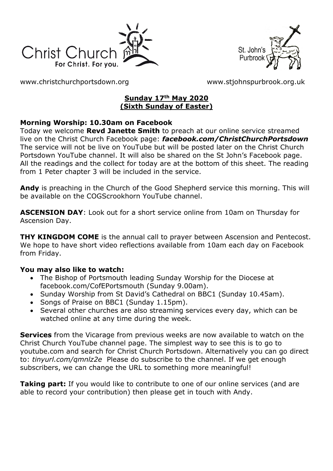



[www.christchurchportsdown.org](http://www.christchurchportsdown.org/) [www.stjohnspurbrook.org.uk](http://www.stjohnspurbrook.org.uk/)

### **Sunday 17th May 2020 (Sixth Sunday of Easter)**

### **Morning Worship: 10.30am on Facebook**

Today we welcome **Revd Janette Smith** to preach at our online service streamed live on the Christ Church Facebook page: *[facebook.com/ChristChurchPortsdown](http://www.facebook.com/ChristChurchPortsdown%20at%2010.30)* The service will not be live on YouTube but will be posted later on the Christ Church Portsdown YouTube channel. It will also be shared on the St John's Facebook page. All the readings and the collect for today are at the bottom of this sheet. The reading from 1 Peter chapter 3 will be included in the service.

**Andy** is preaching in the Church of the Good Shepherd service this morning. This will be available on the COGScrookhorn YouTube channel.

**ASCENSION DAY**: Look out for a short service online from 10am on Thursday for Ascension Day.

**THY KINGDOM COME** is the annual call to prayer between Ascension and Pentecost. We hope to have short video reflections available from 10am each day on Facebook from Friday.

### **You may also like to watch:**

- The Bishop of Portsmouth leading Sunday Worship for the Diocese at facebook.com/CofEPortsmouth (Sunday 9.00am).
- Sunday Worship from St David's Cathedral on BBC1 (Sunday 10.45am).
- Songs of Praise on BBC1 (Sunday 1.15pm).
- Several other churches are also streaming services every day, which can be watched online at any time during the week.

**Services** from the Vicarage from previous weeks are now available to watch on the Christ Church YouTube channel page. The simplest way to see this is to go to youtube.com and search for Christ Church Portsdown. Alternatively you can go direct to: *tinyurl.com/qmnlz2e* Please do subscribe to the channel. If we get enough subscribers, we can change the URL to something more meaningful!

**Taking part:** If you would like to contribute to one of our online services (and are able to record your contribution) then please get in touch with Andy.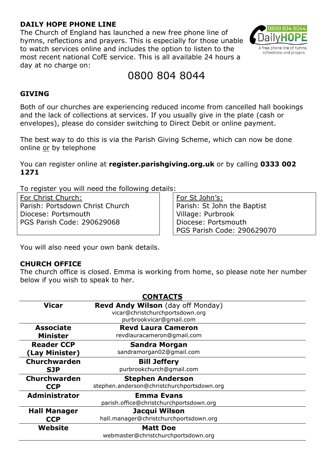### **DAILY HOPE PHONE LINE**

The Church of England has launched a new free phone line of hymns, reflections and prayers. This is especially for those unable to watch services online and includes the option to listen to the most recent national CofE service. This is all available 24 hours a day at no charge on:



# 0800 804 8044

### **GIVING**

Both of our churches are experiencing reduced income from cancelled hall bookings and the lack of collections at services. If you usually give in the plate (cash or envelopes), please do consider switching to Direct Debit or online payment.

The best way to do this is via the Parish Giving Scheme, which can now be done online or by telephone

You can register online at **register.parishgiving.org.uk** or by calling **0333 002 1271**

To register you will need the following details:

For Christ Church: Parish: Portsdown Christ Church Diocese: Portsmouth PGS Parish Code: 290629068

For St John's: Parish: St John the Baptist Village: Purbrook Diocese: Portsmouth PGS Parish Code: 290629070

You will also need your own bank details.

#### **CHURCH OFFICE**

The church office is closed. Emma is working from home, so please note her number below if you wish to speak to her.

| <b>CONTACTS</b>      |                                            |
|----------------------|--------------------------------------------|
| <b>Vicar</b>         | <b>Revd Andy Wilson</b> (day off Monday)   |
|                      | vicar@christchurchportsdown.org            |
|                      | purbrookvicar@gmail.com                    |
| <b>Associate</b>     | <b>Revd Laura Cameron</b>                  |
| <b>Minister</b>      | revdlauracameron@gmail.com                 |
| <b>Reader CCP</b>    | <b>Sandra Morgan</b>                       |
| (Lay Minister)       | sandramorgan02@gmail.com                   |
| Churchwarden         | <b>Bill Jeffery</b>                        |
| <b>SJP</b>           | purbrookchurch@qmail.com                   |
| Churchwarden         | <b>Stephen Anderson</b>                    |
| <b>CCP</b>           | stephen.anderson@christchurchportsdown.org |
| <b>Administrator</b> | <b>Emma Evans</b>                          |
|                      | parish.office@christchurchportsdown.org    |
| <b>Hall Manager</b>  | Jacqui Wilson                              |
| <b>CCP</b>           | hall.manager@christchurchportsdown.org     |
| Website              | <b>Matt Doe</b>                            |
|                      | webmaster@christchurchportsdown.org        |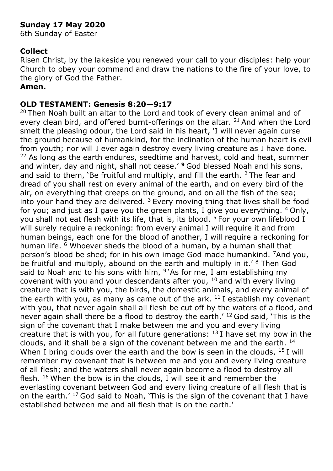# **Sunday 17 May 2020**

6th Sunday of Easter

## **Collect**

Risen Christ, by the lakeside you renewed your call to your disciples: help your Church to obey your command and draw the nations to the fire of your love, to the glory of God the Father.

### **Amen.**

## **OLD TESTAMENT: Genesis 8:20—9:17**

<sup>20</sup> Then Noah built an altar to the Lord and took of every clean animal and of every clean bird, and offered burnt-offerings on the altar,  $21$  And when the Lord smelt the pleasing odour, the Lord said in his heart, 'I will never again curse the ground because of humankind, for the inclination of the human heart is evil from youth; nor will I ever again destroy every living creature as I have done. <sup>22</sup> As long as the earth endures, seedtime and harvest, cold and heat, summer and winter, day and night, shall not cease.' **<sup>9</sup>**God blessed Noah and his sons, and said to them, 'Be fruitful and multiply, and fill the earth.  $2$  The fear and dread of you shall rest on every animal of the earth, and on every bird of the air, on everything that creeps on the ground, and on all the fish of the sea; into your hand they are delivered.  $3$  Every moving thing that lives shall be food for you; and just as I gave you the green plants, I give you everything.  $4$  Only, you shall not eat flesh with its life, that is, its blood. <sup>5</sup> For your own lifeblood I will surely require a reckoning: from every animal I will require it and from human beings, each one for the blood of another, I will require a reckoning for human life. <sup>6</sup> Whoever sheds the blood of a human, by a human shall that person's blood be shed; for in his own image God made humankind. <sup>7</sup>And you, be fruitful and multiply, abound on the earth and multiply in it.' <sup>8</sup> Then God said to Noah and to his sons with him,  $9$ 'As for me, I am establishing my covenant with you and your descendants after you,  $10$  and with every living creature that is with you, the birds, the domestic animals, and every animal of the earth with you, as many as came out of the ark.  $11$  I establish my covenant with you, that never again shall all flesh be cut off by the waters of a flood, and never again shall there be a flood to destroy the earth.' <sup>12</sup> God said, 'This is the sign of the covenant that I make between me and you and every living creature that is with you, for all future generations:  $13$  I have set my bow in the clouds, and it shall be a sign of the covenant between me and the earth. <sup>14</sup> When I bring clouds over the earth and the bow is seen in the clouds,  $^{15}$  I will remember my covenant that is between me and you and every living creature of all flesh; and the waters shall never again become a flood to destroy all flesh.  $16$  When the bow is in the clouds, I will see it and remember the everlasting covenant between God and every living creature of all flesh that is on the earth.' <sup>17</sup> God said to Noah, 'This is the sign of the covenant that I have established between me and all flesh that is on the earth.'